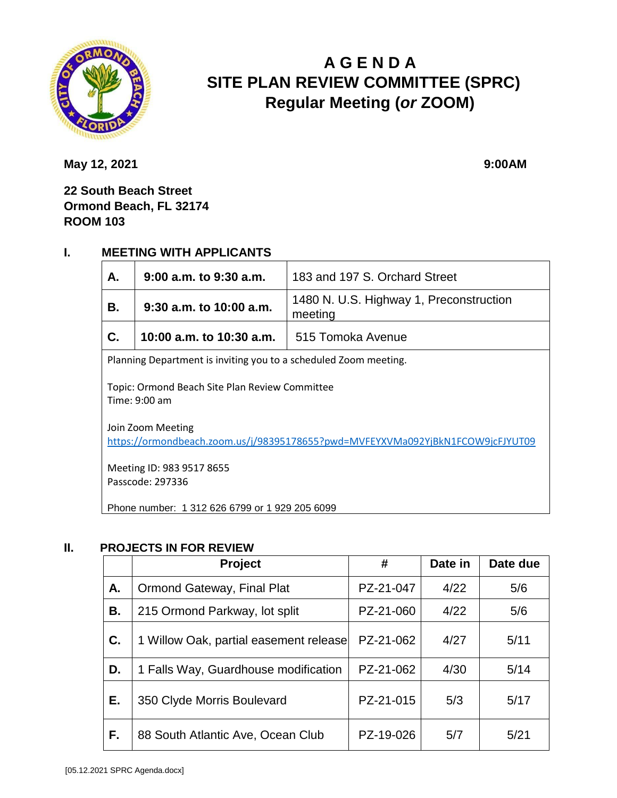

# **A G E N D A SITE PLAN REVIEW COMMITTEE (SPRC) Regular Meeting (***or* **ZOOM)**

**May 12, 2021** 9:00AM

**22 South Beach Street Ormond Beach, FL 32174 ROOM 103**

### **I. MEETING WITH APPLICANTS**

| А.                                                                                                  | $9:00$ a.m. to $9:30$ a.m.<br>183 and 197 S. Orchard Street |                                                    |  |  |  |
|-----------------------------------------------------------------------------------------------------|-------------------------------------------------------------|----------------------------------------------------|--|--|--|
| В.                                                                                                  | $9:30$ a.m. to 10:00 a.m.                                   | 1480 N. U.S. Highway 1, Preconstruction<br>meeting |  |  |  |
| C.                                                                                                  | 10:00 a.m. to 10:30 a.m.                                    | 515 Tomoka Avenue                                  |  |  |  |
| Planning Department is inviting you to a scheduled Zoom meeting.                                    |                                                             |                                                    |  |  |  |
| Topic: Ormond Beach Site Plan Review Committee<br>Time: 9:00 am                                     |                                                             |                                                    |  |  |  |
| Join Zoom Meeting<br>https://ormondbeach.zoom.us/j/98395178655?pwd=MVFEYXVMa092YjBkN1FCOW9jcFJYUT09 |                                                             |                                                    |  |  |  |
| Meeting ID: 983 9517 8655<br>Passcode: 297336                                                       |                                                             |                                                    |  |  |  |
| Phone number: 1 312 626 6799 or 1 929 205 6099                                                      |                                                             |                                                    |  |  |  |

#### **II. PROJECTS IN FOR REVIEW**

|    | Project                                | #         | Date in | Date due |
|----|----------------------------------------|-----------|---------|----------|
| А. | Ormond Gateway, Final Plat             | PZ-21-047 | 4/22    | 5/6      |
| В. | 215 Ormond Parkway, lot split          | PZ-21-060 | 4/22    | 5/6      |
| C. | 1 Willow Oak, partial easement release | PZ-21-062 | 4/27    | 5/11     |
| D. | 1 Falls Way, Guardhouse modification   | PZ-21-062 | 4/30    | 5/14     |
| Е. | 350 Clyde Morris Boulevard             | PZ-21-015 | 5/3     | 5/17     |
| F. | 88 South Atlantic Ave, Ocean Club      | PZ-19-026 | 5/7     | 5/21     |